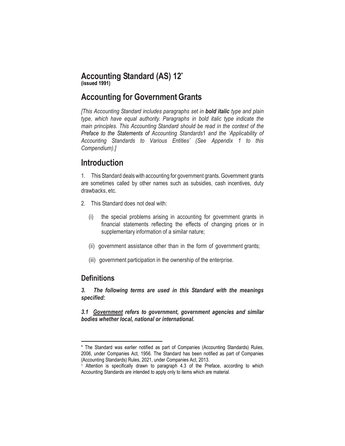### **Accounting Standard (AS) 12\* (issued 1991)**

## **Accounting for GovernmentGrants**

*[This Accounting Standard includes paragraphs set in bold italic type and plain type, which have equal authority. Paragraphs in bold italic type indicate the main principles. This Accounting Standard should be read in the context of the Preface to the Statements of Accounting Standards*1 *and the 'Applicability of Accounting Standards to Various Entities' (See Appendix 1 to this Compendium).]*

# **Introduction**

1. This Standard dealswith accounting for government grants.Government grants are sometimes called by other names such as subsidies, cash incentives, duty drawbacks, etc.

- 2. This Standard does not deal with:
	- (i) the special problems arising in accounting for government grants in financial statements reflecting the effects of changing prices or in supplementary information of a similar nature;
	- (ii) government assistance other than in the form of government grants;
	- (iii) government participation in the ownership of the enterprise.

## **Definitions**

 $\overline{\phantom{a}}$ 

*3. The following terms are used in this Standard with the meanings specified:*

*3.1 Government refers to government, government agencies and similar bodies whether local, national or international.*

<sup>\*</sup> The Standard was earlier notified as part of Companies (Accounting Standards) Rules, 2006, under Companies Act, 1956. The Standard has been notified as part of Companies (Accounting Standards) Rules, 2021, under Companies Act, 2013.

<sup>1</sup> Attention is specifically drawn to paragraph 4.3 of the Preface, according to which Accounting Standards are intended to apply only to items which are material.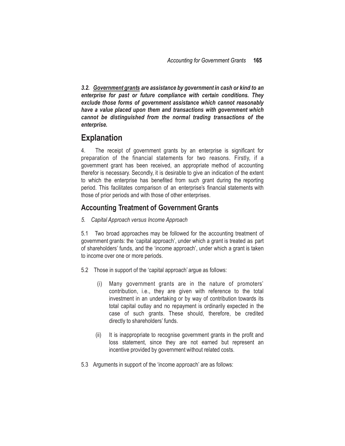*3.2. Government grants are assistance by government in cash or kind to an enterprise for past or future compliance with certain conditions. They exclude those forms of government assistance which cannot reasonably have a value placed upon them and transactions with government which cannot be distinguished from the normal trading transactions of the enterprise.*

## **Explanation**

4. The receipt of government grants by an enterprise is significant for preparation of the financial statements for two reasons. Firstly, if a government grant has been received, an appropriate method of accounting therefor is necessary. Secondly, it is desirable to give an indication of the extent to which the enterprise has benefited from such grant during the reporting period. This facilitates comparison of an enterprise's financial statements with those of prior periods and with those of other enterprises.

## **Accounting Treatment of Government Grants**

*5. Capital Approach versus Income Approach*

5.1 Two broad approaches may be followed for the accounting treatment of government grants: the 'capital approach', under which a grant is treated as part of shareholders' funds, and the 'income approach', under which a grant is taken to income over one or more periods.

- 5.2 Those in support of the 'capital approach' argue as follows:
	- (i) Many government grants are in the nature of promoters' contribution, i.e., they are given with reference to the total investment in an undertaking or by way of contribution towards its total capital outlay and no repayment is ordinarily expected in the case of such grants. These should, therefore, be credited directly to shareholders' funds.
	- (ii) It is inappropriate to recognise government grants in the profit and loss statement, since they are not earned but represent an incentive provided by government without related costs.
- 5.3 Arguments in support of the 'income approach' are as follows: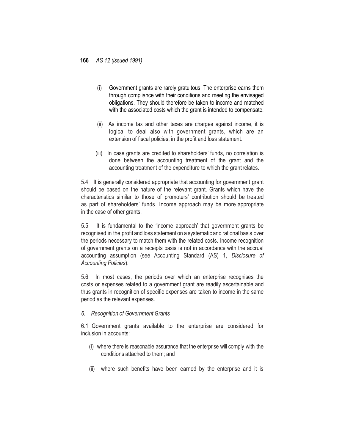- (i) Government grants are rarely gratuitous. The enterprise earns them through compliance with their conditions and meeting the envisaged obligations. They should therefore be taken to income and matched with the associated costs which the grant is intended to compensate.
- (ii) As income tax and other taxes are charges against income, it is logical to deal also with government grants, which are an extension of fiscal policies, in the profit and loss statement.
- (iii) In case grants are credited to shareholders' funds, no correlation is done between the accounting treatment of the grant and the accounting treatment of the expenditure to which the grantrelates.

5.4 It is generally considered appropriate that accounting for government grant should be based on the nature of the relevant grant. Grants which have the characteristics similar to those of promoters' contribution should be treated as part of shareholders' funds. Income approach may be more appropriate in the case of other grants.

5.5 It is fundamental to the 'income approach' that government grants be recognised in the profit and loss statement on a systematic and rational basis over the periods necessary to match them with the related costs. Income recognition of government grants on a receipts basis is not in accordance with the accrual accounting assumption (see Accounting Standard (AS) 1, *Disclosure of Accounting Policies*).

5.6 In most cases, the periods over which an enterprise recognises the costs or expenses related to a government grant are readily ascertainable and thus grants in recognition of specific expenses are taken to income in the same period as the relevant expenses.

#### *6. Recognition of Government Grants*

6.1 Government grants available to the enterprise are considered for inclusion in accounts:

- (i) where there is reasonable assurance that the enterprise will comply with the conditions attached to them; and
- (ii) where such benefits have been earned by the enterprise and it is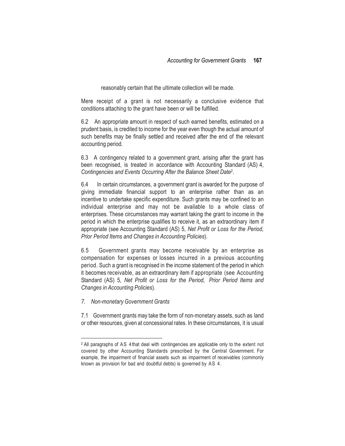reasonably certain that the ultimate collection will be made.

Mere receipt of a grant is not necessarily a conclusive evidence that conditions attaching to the grant have been or will be fulfilled.

6.2 An appropriate amount in respect of such earned benefits, estimated on a prudent basis, is credited to income for the year even though the actual amount of such benefits may be finally settled and received after the end of the relevant accounting period.

6.3 A contingency related to a government grant, arising after the grant has been recognised, is treated in accordance with Accounting Standard (AS) 4, *Contingencies and Events Occurring After the Balance Sheet Date*<sup>2</sup> .

6.4 In certain circumstances, a government grant is awarded for the purpose of giving immediate financial support to an enterprise rather than as an incentive to undertake specific expenditure. Such grants may be confined to an individual enterprise and may not be available to a whole class of enterprises. These circumstances may warrant taking the grant to income in the period in which the enterprise qualifies to receive it, as an extraordinary item if appropriate (see Accounting Standard (AS) 5, *Net Profit or Loss for the Period, Prior Period Items and Changes in Accounting Policies*).

6.5 Government grants may become receivable by an enterprise as compensation for expenses or losses incurred in a previous accounting period. Such a grant is recognised in the income statement of the period in which it becomes receivable, as an extraordinary item if appropriate (see Accounting Standard (AS) 5, *Net Profit or Loss for the Period, Prior Period Items and Changes in Accounting Policies*).

*7. Non-monetary Government Grants*

 $\overline{\phantom{a}}$ 

7.1 Government grants may take the form of non-monetary assets, such as land or other resources, given at concessional rates. In these circumstances, it is usual

<sup>2</sup> All paragraphs of AS 4 that deal with contingencies are applicable only to the extent not covered by other Accounting Standards prescribed by the Central Government. For example, the impairment of financial assets such as impairment of receivables (commonly known as provision for bad and doubtful debts) is governed by AS 4.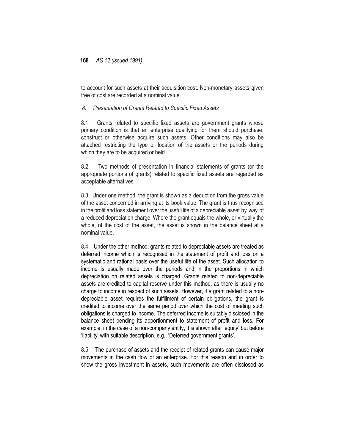to account for such assets at their acquisition cost. Non-monetary assets given free of cost are recorded at a nominal value.

#### *8. Presentation of Grants Related to Specific Fixed Assets*

8.1 Grants related to specific fixed assets are government grants whose primary condition is that an enterprise qualifying for them should purchase, construct or otherwise acquire such assets. Other conditions may also be attached restricting the type or location of the assets or the periods during which they are to be acquired or held.

8.2 Two methods of presentation in financial statements of grants (or the appropriate portions of grants) related to specific fixed assets are regarded as acceptable alternatives.

8.3 Under one method, the grant is shown as a deduction from the gross value of the asset concerned in arriving at its book value. The grant is thus recognised in the profit and loss statement over the useful life of a depreciable asset by way of a reduced depreciation charge. Where the grant equals the whole, or virtually the whole, of the cost of the asset, the asset is shown in the balance sheet at a nominal value.

8.4 Under the other method, grants related to depreciable assets are treated as deferred income which is recognised in the statement of profit and loss on a systematic and rational basis over the useful life of the asset. Such allocation to income is usually made over the periods and in the proportions in which depreciation on related assets is charged. Grants related to non-depreciable assets are credited to capital reserve under this method, as there is usually no charge to income in respect of such assets. However, if a grant related to a nondepreciable asset requires the fulfillment of certain obligations, the grant is credited to income over the same period over which the cost of meeting such obligations is charged to income. The deferred income is suitably disclosed in the balance sheet pending its apportionment to statement of profit and loss. For example, in the case of a non-company entity, it is shown after 'equity' but before 'liability' with suitable description, e.g., 'Deferred government grants'.

8.5 The purchase of assets and the receipt of related grants can cause major movements in the cash flow of an enterprise. For this reason and in order to show the gross investment in assets, such movements are often disclosed as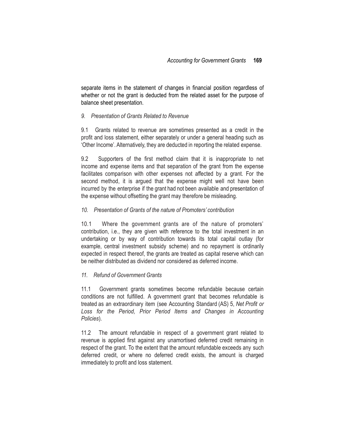separate items in the statement of changes in financial position regardless of whether or not the grant is deducted from the related asset for the purpose of balance sheet presentation.

#### *9. Presentation of Grants Related to Revenue*

9.1 Grants related to revenue are sometimes presented as a credit in the profit and loss statement, either separately or under a general heading such as 'Other Income'. Alternatively, they are deducted in reporting the related expense.

9.2 Supporters of the first method claim that it is inappropriate to net income and expense items and that separation of the grant from the expense facilitates comparison with other expenses not affected by a grant. For the second method, it is argued that the expense might well not have been incurred by the enterprise if the grant had not been available and presentation of the expense without offsetting the grant may therefore be misleading.

#### *10. Presentation of Grants of the nature of Promoters' contribution*

10.1 Where the government grants are of the nature of promoters' contribution, i.e., they are given with reference to the total investment in an undertaking or by way of contribution towards its total capital outlay (for example, central investment subsidy scheme) and no repayment is ordinarily expected in respect thereof, the grants are treated as capital reserve which can be neither distributed as dividend nor considered as deferred income.

#### *11. Refund of Government Grants*

11.1 Government grants sometimes become refundable because certain conditions are not fulfilled. A government grant that becomes refundable is treated as an extraordinary item (see Accounting Standard (AS) 5, *Net Profit or Loss for the Period, Prior Period Items and Changes in Accounting Policies*).

11.2 The amount refundable in respect of a government grant related to revenue is applied first against any unamortised deferred credit remaining in respect of the grant. To the extent that the amount refundable exceeds any such deferred credit, or where no deferred credit exists, the amount is charged immediately to profit and loss statement.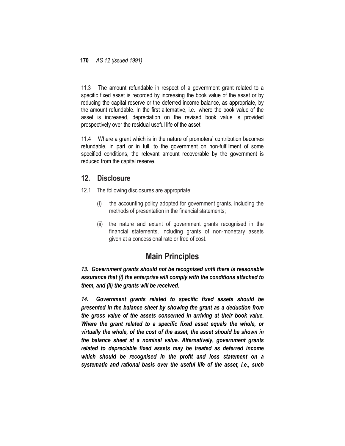11.3 The amount refundable in respect of a government grant related to a specific fixed asset is recorded by increasing the book value of the asset or by reducing the capital reserve or the deferred income balance, as appropriate, by the amount refundable. In the first alternative, i.e., where the book value of the asset is increased, depreciation on the revised book value is provided prospectively over the residual useful life of the asset.

11.4 Where a grant which is in the nature of promoters' contribution becomes refundable, in part or in full, to the government on non-fulfillment of some specified conditions, the relevant amount recoverable by the government is reduced from the capital reserve.

### **12. Disclosure**

- 12.1 The following disclosures are appropriate:
	- (i) the accounting policy adopted for government grants, including the methods of presentation in the financial statements;
	- (ii) the nature and extent of government grants recognised in the financial statements, including grants of non-monetary assets given at a concessional rate or free of cost.

# **Main Principles**

*13. Government grants should not be recognised until there is reasonable assurance that (i) the enterprise will comply with the conditions attached to them, and (ii) the grants will be received.*

*14. Government grants related to specific fixed assets should be presented in the balance sheet by showing the grant as a deduction from the gross value of the assets concerned in arriving at their book value. Where the grant related to a specific fixed asset equals the whole, or virtually the whole, of the cost of the asset, the asset should be shown in the balance sheet at a nominal value. Alternatively, government grants related to depreciable fixed assets may be treated as deferred income which should be recognised in the profit and loss statement on a systematic and rational basis over the useful life of the asset, i.e., such*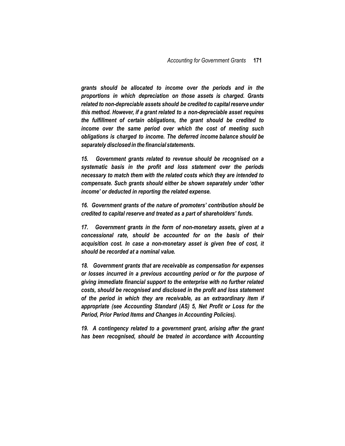*grants should be allocated to income over the periods and in the proportions in which depreciation on those assets is charged. Grants related to non-depreciable assets should be credited to capital reserve under this method. However, if a grant related to a non-depreciable asset requires the fulfillment of certain obligations, the grant should be credited to income over the same period over which the cost of meeting such obligations is charged to income. The deferred income balance should be separately disclosed in the financial statements.*

*15. Government grants related to revenue should be recognised on a systematic basis in the profit and loss statement over the periods necessary to match them with the related costs which they are intended to compensate. Such grants should either be shown separately under 'other income' or deducted in reporting the related expense.*

*16. Government grants of the nature of promoters' contribution should be credited to capital reserve and treated as a part of shareholders' funds.*

*17. Government grants in the form of non-monetary assets, given at a concessional rate, should be accounted for on the basis of their acquisition cost. In case a non-monetary asset is given free of cost, it should be recorded at a nominal value.*

*18. Government grants that are receivable as compensation for expenses or losses incurred in a previous accounting period or for the purpose of giving immediate financial support to the enterprise with no further related costs, should be recognised and disclosed in the profit and loss statement of the period in which they are receivable, as an extraordinary item if appropriate (see Accounting Standard (AS) 5, Net Profit or Loss for the Period, Prior Period Items and Changes in Accounting Policies).*

*19. A contingency related to a government grant, arising after the grant has been recognised, should be treated in accordance with Accounting*